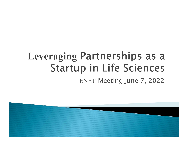# **Leveraging Partnerships as a Startup in Life Sciences** ENET Meeting June 7, 2022

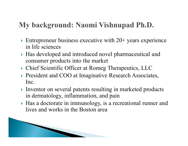- Entrepreneur business executive with  $20+$  years experience in life sciences
- Has developed and introduced novel pharmaceutical and consumer products into the market My background: Naomi Vishnupad Ph.D.<br>
Entrepreneur business executive with 20+ years experience<br>
in life sciences<br>
Has developed and introduced novel pharmaceutical and<br>
consumer products into the market<br>
Excite Scientifi
- 
- **President and COO at Imaginative Research Associates,** Inc.
- Inventor on several patents resulting in marketed products in dermatology, inflammation, and pain
- Has a doctorate in immunology, is a recreational runner and lives and works in the Boston area

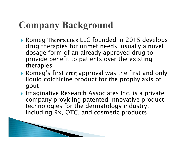**The Common Street, Inc.** 

- ▶ Romeg Therapeutics LLC founded in 2015 develops drug therapies for unmet needs, usually a novel dosage form of an already approved drug to provide benefit to patients over the existing therapies Company Background<br>
Romeg Therapeutics LLC founded in 2015 develops<br>
drug therapies for unmet needs, usually a novel<br>
dosage form of an already approved drug to<br>
provide benefit to patients over the existing<br>
therapies<br>
Ro
- liquid colchicine product for the prophylaxis of gout
- ▶ Imaginative Research Associates Inc. is a private company providing patented innovative product technologies for the dermatology industry, including Rx, OTC, and cosmetic products.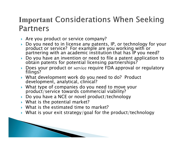## **Important Considerations When Seeking Partners**

- Are you product or service company?
- Do you need to in license any patents, IP, or technology for your product or service? For example are you working with or partnering with an academic institution that has IP you need?
- Do you have an invention or need to file a patent application to obtain patents for potential licensing partnerships?
- Does your product or service require FDA approval or regulatory filings?
- What development work do you need to do? Product development, analytical, clinical?
- What type of companies do you need to move your product/service towards commercial viability?
- Do you have a NCE or novel product/technology
- ▶ What is the potential market?
- What is the estimated time to market?
- What is your exit strategy/goal for the product/technology

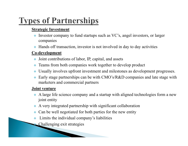# **Types of Partnerships**

### **Strategic Investment**

- Investor company to fund startups such as VC's, angel investors, or larger companies
- Hands off transaction, investor is not involved in day to day activities

### Co-development

- $\bullet$  Joint contributions of labor, IP, capital, and assets
- Teams from both companies work together to develop product
- Usually involves upfront investment and milestones as development progresses.
- Early stage partnerships can be with CMO's/R&D companies and late stage with marketers and commercial partners

### Joint venture

- A large life science company and a startup with aligned technologies form a new joint entity
- A very integrated partnership with significant collaboration
- Can be well negotiated for both parties for the new entity
- Limits the individual company's liabilities
- Challenging exit strategies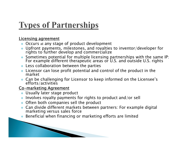# **Types of Partnerships**

### Licensing agreement

- Occurs at any stage of product development
- Upfront payments, milestones, and royalties to inventor/developer for rights to further develop and commercialize
- Sometimes potential for multiple licensing partnerships with the same IP: For example different therapeutic areas or U.S. and outside U.S. rights
- Less collaboration between the parties
- Licensor can lose profit potential and control of the product in the market
- Can be challenging for Licensor to keep informed on the Licensee's efforts/activities

## Co-marketing Agreement

- Usually later stage product
- Involves royalty payments for rights to product and/or sell
- Often both companies sell the product

<u> The Communication of the Communication of the Communication of the Communication of the Communication of the Communication of the Communication of the Communication of the Communication of the Communication of the Commun</u>

- Can divide different markets between partners: For example digital marketing versus sales force
- Beneficial when financing or marketing efforts are limited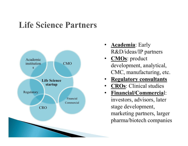## **Life Science Partners**



- R&D/ideas/IP partners
- CMO development, analytical, • CMOs: product CMC, manufacturing, etc.
	- **Regulatory consultants**
	- **CROs:** Clinical studies
	- Financial/Commercial: investors, advisors, later stage development, marketing partners, larger pharma/biotech companies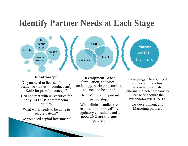## **Identify Partner Needs at Each Stage**



Idea/Concept:

Do you need to license IP or any academic studies or conduct early R&D for proof of concept?

Can contract with universities for early R&D, IP, or referencing studies

What work needs to be done to secure patents?

Do you need capital investment?

Development: What formulation, analytical, toxicology, packaging studies, etc. need to be done?

The CMO is an important partnership.

What clinical studies are required for approval? A regulatory consultant and a good CRO are strategic partners

Late Stage: Do you need investors to fund clinical trials or an established pharma/biotech company to license or acquire the IP/technology/IND/NDA?

> Co-development and Marketing partners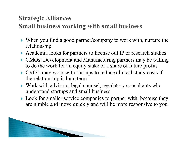- When you find a good partner/company to work with, nurture the relationship Strategic Alliances<br>
Small business working with small business<br>
Next When you find a good partner/company to work with, nurture the<br>
relationship<br>
Academia looks for partners to license out IP or research studies<br>
CMOs: D
- Academia looks for partners to license out IP or research studies
- to do the work for an equity stake or a share of future profits
- CRO's may work with startups to reduce clinical study costs if the relationship is long term
- Work with advisors, legal counsel, regulatory consultants who understand startups and small business
- ▶ Look for smaller service companies to partner with, because they are nimble and move quickly and will be more responsive to you.

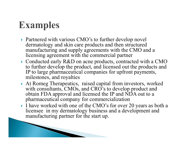**The Common Seconds** 

- ▶ Partnered with various CMO's to further develop novel dermatology and skin care products and then structured manufacturing and supply agreements with the CMO and a licensing agreement with the commercial partner
- ▶ Conducted early R&D on acne products, contracted with a CMO to further develop the product, and licensed out the products and IP to large pharmaceutical companies for upfront payments, milestones, and royalties **Examples**<br> **Examples**<br> **Partnered with various CMO's to further develop novel**<br>
dermatology and skin care products and then structured<br>
manufacturing and supply agreements with the CMO and a<br>
licensing agreement with the
- with consultants, CMOs, and CRO's to develop product and obtain FDA approval and licensed the IP and NDA out to a pharmaceutical company for commercialization
- I have worked with one of the CMO's for over 20 years as both a licensee in my dermatology business and a development and manufacturing partner for the start up.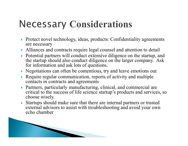# **Necessary Considerations**

- ▶ Protect novel technology, ideas, products: Confidentiality agreements are necessary
- Alliances and contracts require legal counsel and attention to detail
- Potential partners will conduct extensive diligence on the startup, and the startup should also conduct diligence on the larger company. Ask for information and ask lots of questions.
- Negotiations can often be contentious, try and leave emotions out
- Require regular communication, reports of activity and multiple contacts in contracts and agreements
- Partners, particularly manufacturing, clinical, and commercial are critical to the success of life science startup's products and services, so choose wisely.
- Startups should make sure that there are internal partners or trusted external advisors to assist with troubleshooting and avoid your own echo chamber

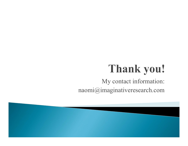# Thank you!

My contact information: naomi@imaginativeresearch.com